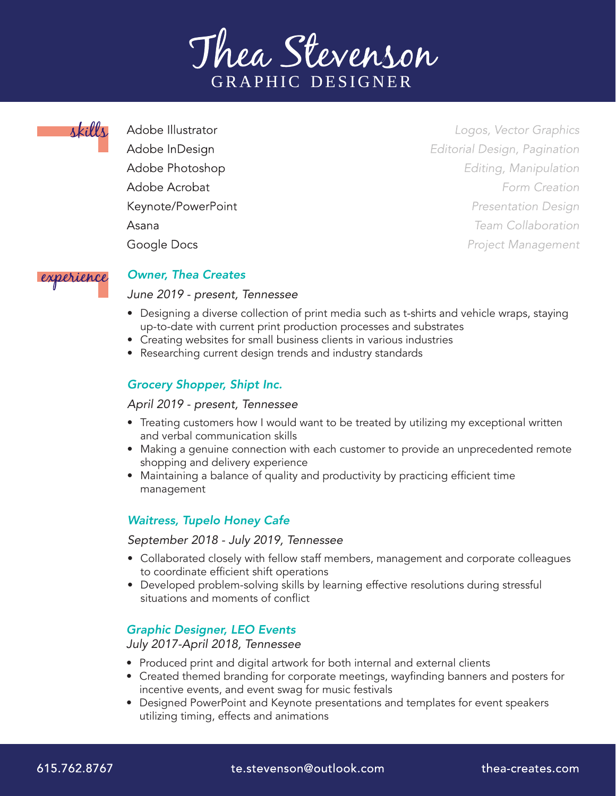



Adobe Illustrator Adobe InDesign Adobe Photoshop Adobe Acrobat Keynote/PowerPoint Asana Google Docs

Logos, Vector Graphics Editorial Design, Pagination Editing, Manipulation Form Creation **Presentation Design** Team Collaboration **Project Management** 



#### *Owner, Thea Creates*

#### *June 2019 - present, Tennessee*

- Designing a diverse collection of print media such as t-shirts and vehicle wraps, staying up-to-date with current print production processes and substrates
- Creating websites for small business clients in various industries
- Researching current design trends and industry standards

# *Grocery Shopper, Shipt Inc.*

#### *April 2019 - present, Tennessee*

- Treating customers how I would want to be treated by utilizing my exceptional written and verbal communication skills
- Making a genuine connection with each customer to provide an unprecedented remote shopping and delivery experience
- Maintaining a balance of quality and productivity by practicing efficient time management

## *Waitress, Tupelo Honey Cafe*

#### *September 2018 - July 2019, Tennessee*

- Collaborated closely with fellow staff members, management and corporate colleagues to coordinate efficient shift operations
- Developed problem-solving skills by learning effective resolutions during stressful situations and moments of conflict

## *Graphic Designer, LEO Events*

*July 2017-April 2018, Tennessee*

- Produced print and digital artwork for both internal and external clients
- Created themed branding for corporate meetings, wayfinding banners and posters for incentive events, and event swag for music festivals
- Designed PowerPoint and Keynote presentations and templates for event speakers utilizing timing, effects and animations